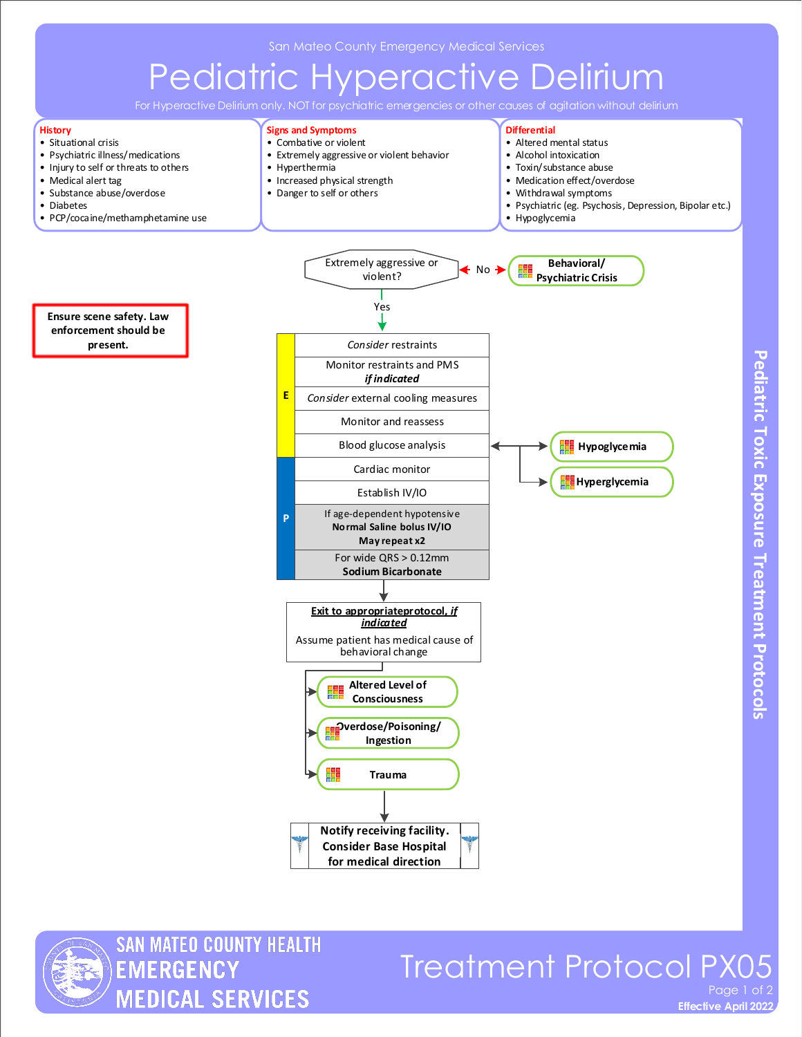## Pediatric Hyperactive Delirium

For Hyperactive Delirium only. NOT for psychiatric emergencies or other causes of agitation without delirium

**Signs and Symptoms** • Combative or violent **Differential**

• Altered mental status

### **History**

- Situational crisis
- Psychiatric illness/medications
- Injury to self or threats to others
- Medical alert tag
- Substance abuse/overdose

**Ensure scene safety. Law enforcement should be present.**

- Diabetes
- PCP/cocaine/methamphetamine use





SAN MATEO COUNTY HEALTH **EMERGENCY MEDICAL SERVICES** 

### **Effective April 2022** Treatment Protocol PX05 Page 1 of 2